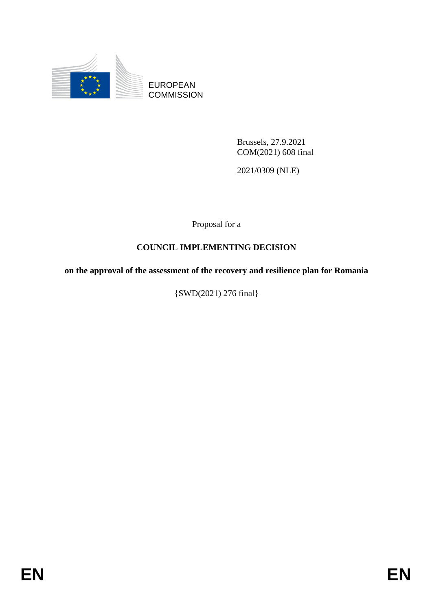

EUROPEAN **COMMISSION** 

> Brussels, 27.9.2021 COM(2021) 608 final

2021/0309 (NLE)

Proposal for a

# **COUNCIL IMPLEMENTING DECISION**

**on the approval of the assessment of the recovery and resilience plan for Romania**

{SWD(2021) 276 final}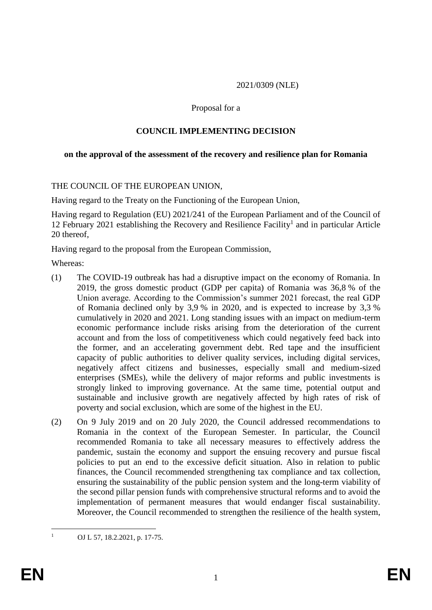2021/0309 (NLE)

#### Proposal for a

## **COUNCIL IMPLEMENTING DECISION**

#### **on the approval of the assessment of the recovery and resilience plan for Romania**

#### THE COUNCIL OF THE EUROPEAN UNION,

Having regard to the Treaty on the Functioning of the European Union,

Having regard to Regulation (EU) 2021/241 of the European Parliament and of the Council of 12 February 2021 establishing the Recovery and Resilience Facility<sup>1</sup> and in particular Article 20 thereof,

Having regard to the proposal from the European Commission,

Whereas:

- (1) The COVID-19 outbreak has had a disruptive impact on the economy of Romania. In 2019, the gross domestic product (GDP per capita) of Romania was 36,8 % of the Union average. According to the Commission's summer 2021 forecast, the real GDP of Romania declined only by 3,9 % in 2020, and is expected to increase by 3,3 % cumulatively in 2020 and 2021. Long standing issues with an impact on medium-term economic performance include risks arising from the deterioration of the current account and from the loss of competitiveness which could negatively feed back into the former, and an accelerating government debt. Red tape and the insufficient capacity of public authorities to deliver quality services, including digital services, negatively affect citizens and businesses, especially small and medium-sized enterprises (SMEs), while the delivery of major reforms and public investments is strongly linked to improving governance. At the same time, potential output and sustainable and inclusive growth are negatively affected by high rates of risk of poverty and social exclusion, which are some of the highest in the EU*.*
- (2) On 9 July 2019 and on 20 July 2020, the Council addressed recommendations to Romania in the context of the European Semester. In particular, the Council recommended Romania to take all necessary measures to effectively address the pandemic, sustain the economy and support the ensuing recovery and pursue fiscal policies to put an end to the excessive deficit situation. Also in relation to public finances, the Council recommended strengthening tax compliance and tax collection, ensuring the sustainability of the public pension system and the long-term viability of the second pillar pension funds with comprehensive structural reforms and to avoid the implementation of permanent measures that would endanger fiscal sustainability. Moreover, the Council recommended to strengthen the resilience of the health system,

 $\mathbf{1}$ OJ L 57, 18.2.2021, p. 17-75.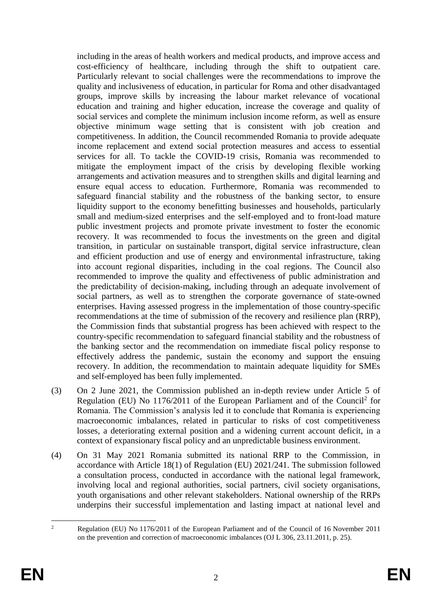including in the areas of health workers and medical products, and improve access and cost-efficiency of healthcare, including through the shift to outpatient care. Particularly relevant to social challenges were the recommendations to improve the quality and inclusiveness of education, in particular for Roma and other disadvantaged groups, improve skills by increasing the labour market relevance of vocational education and training and higher education, increase the coverage and quality of social services and complete the minimum inclusion income reform, as well as ensure objective minimum wage setting that is consistent with job creation and competitiveness. In addition, the Council recommended Romania to provide adequate income replacement and extend social protection measures and access to essential services for all. To tackle the COVID-19 crisis, Romania was recommended to mitigate the employment impact of the crisis by developing flexible working arrangements and activation measures and to strengthen skills and digital learning and ensure equal access to education. Furthermore, Romania was recommended to safeguard financial stability and the robustness of the banking sector, to ensure liquidity support to the economy benefitting businesses and households, particularly small and medium-sized enterprises and the self-employed and to front-load mature public investment projects and promote private investment to foster the economic recovery. It was recommended to focus the investments on the green and digital transition, in particular on sustainable transport, digital service infrastructure, clean and efficient production and use of energy and environmental infrastructure, taking into account regional disparities, including in the coal regions. The Council also recommended to improve the quality and effectiveness of public administration and the predictability of decision-making, including through an adequate involvement of social partners, as well as to strengthen the corporate governance of state-owned enterprises. Having assessed progress in the implementation of those country-specific recommendations at the time of submission of the recovery and resilience plan (RRP), the Commission finds that substantial progress has been achieved with respect to the country-specific recommendation to safeguard financial stability and the robustness of the banking sector and the recommendation on immediate fiscal policy response to effectively address the pandemic, sustain the economy and support the ensuing recovery. In addition, the recommendation to maintain adequate liquidity for SMEs and self-employed has been fully implemented.

- (3) On 2 June 2021, the Commission published an in-depth review under Article 5 of Regulation (EU) No 1176/2011 of the European Parliament and of the Council<sup>2</sup> for Romania. The Commission's analysis led it to conclude that Romania is experiencing macroeconomic imbalances, related in particular to risks of cost competitiveness losses, a deteriorating external position and a widening current account deficit, in a context of expansionary fiscal policy and an unpredictable business environment.
- (4) On 31 May 2021 Romania submitted its national RRP to the Commission, in accordance with Article 18(1) of Regulation (EU) 2021/241. The submission followed a consultation process, conducted in accordance with the national legal framework, involving local and regional authorities, social partners, civil society organisations, youth organisations and other relevant stakeholders. National ownership of the RRPs underpins their successful implementation and lasting impact at national level and

 $\overline{2}$ <sup>2</sup> Regulation (EU) No 1176/2011 of the European Parliament and of the Council of 16 November 2011 on the prevention and correction of macroeconomic imbalances (OJ L 306, 23.11.2011, p. 25).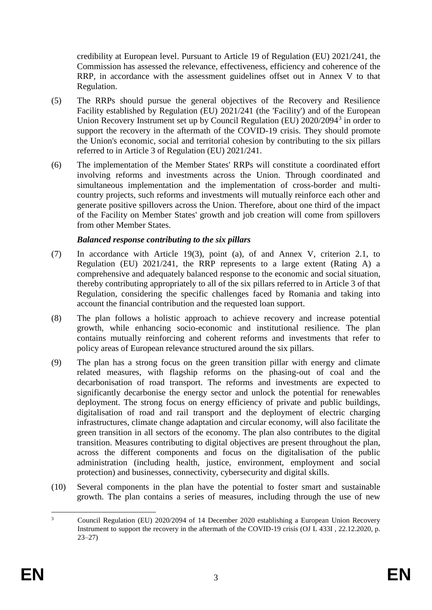credibility at European level. Pursuant to Article 19 of Regulation (EU) 2021/241, the Commission has assessed the relevance, effectiveness, efficiency and coherence of the RRP, in accordance with the assessment guidelines offset out in Annex V to that Regulation.

- (5) The RRPs should pursue the general objectives of the Recovery and Resilience Facility established by Regulation (EU) 2021/241 (the 'Facility') and of the European Union Recovery Instrument set up by Council Regulation (EU) 2020/2094<sup>3</sup> in order to support the recovery in the aftermath of the COVID-19 crisis. They should promote the Union's economic, social and territorial cohesion by contributing to the six pillars referred to in Article 3 of Regulation (EU) 2021/241.
- (6) The implementation of the Member States' RRPs will constitute a coordinated effort involving reforms and investments across the Union. Through coordinated and simultaneous implementation and the implementation of cross-border and multicountry projects, such reforms and investments will mutually reinforce each other and generate positive spillovers across the Union. Therefore, about one third of the impact of the Facility on Member States' growth and job creation will come from spillovers from other Member States.

### *Balanced response contributing to the six pillars*

- (7) In accordance with Article 19(3), point (a), of and Annex V, criterion 2.1, to Regulation (EU) 2021/241, the RRP represents to a large extent (Rating A) a comprehensive and adequately balanced response to the economic and social situation, thereby contributing appropriately to all of the six pillars referred to in Article 3 of that Regulation, considering the specific challenges faced by Romania and taking into account the financial contribution and the requested loan support.
- (8) The plan follows a holistic approach to achieve recovery and increase potential growth, while enhancing socio-economic and institutional resilience. The plan contains mutually reinforcing and coherent reforms and investments that refer to policy areas of European relevance structured around the six pillars.
- (9) The plan has a strong focus on the green transition pillar with energy and climate related measures, with flagship reforms on the phasing-out of coal and the decarbonisation of road transport. The reforms and investments are expected to significantly decarbonise the energy sector and unlock the potential for renewables deployment. The strong focus on energy efficiency of private and public buildings, digitalisation of road and rail transport and the deployment of electric charging infrastructures, climate change adaptation and circular economy, will also facilitate the green transition in all sectors of the economy. The plan also contributes to the digital transition. Measures contributing to digital objectives are present throughout the plan, across the different components and focus on the digitalisation of the public administration (including health, justice, environment, employment and social protection) and businesses, connectivity, cybersecurity and digital skills.
- (10) Several components in the plan have the potential to foster smart and sustainable growth. The plan contains a series of measures, including through the use of new

 $\overline{3}$ <sup>3</sup> Council Regulation (EU) 2020/2094 of 14 December 2020 establishing a European Union Recovery Instrument to support the recovery in the aftermath of the COVID-19 crisis (OJ L 433I , 22.12.2020, p. 23–27)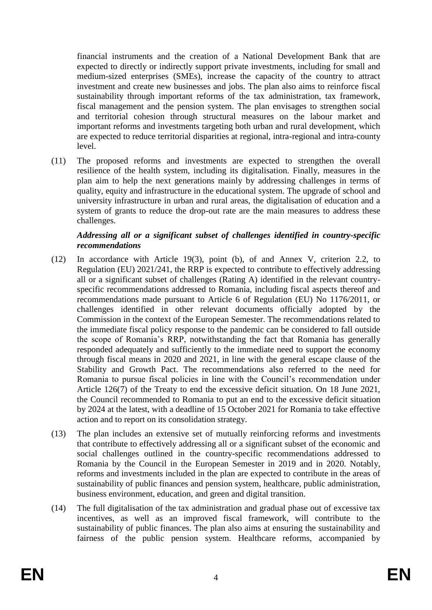financial instruments and the creation of a National Development Bank that are expected to directly or indirectly support private investments, including for small and medium-sized enterprises (SMEs), increase the capacity of the country to attract investment and create new businesses and jobs. The plan also aims to reinforce fiscal sustainability through important reforms of the tax administration, tax framework, fiscal management and the pension system. The plan envisages to strengthen social and territorial cohesion through structural measures on the labour market and important reforms and investments targeting both urban and rural development, which are expected to reduce territorial disparities at regional, intra-regional and intra-county level.

(11) The proposed reforms and investments are expected to strengthen the overall resilience of the health system, including its digitalisation. Finally, measures in the plan aim to help the next generations mainly by addressing challenges in terms of quality, equity and infrastructure in the educational system. The upgrade of school and university infrastructure in urban and rural areas, the digitalisation of education and a system of grants to reduce the drop-out rate are the main measures to address these challenges.

### *Addressing all or a significant subset of challenges identified in country-specific recommendations*

- (12) In accordance with Article 19(3), point (b), of and Annex V, criterion 2.2, to Regulation (EU) 2021/241, the RRP is expected to contribute to effectively addressing all or a significant subset of challenges (Rating A) identified in the relevant countryspecific recommendations addressed to Romania, including fiscal aspects thereof and recommendations made pursuant to Article 6 of Regulation (EU) No 1176/2011, or challenges identified in other relevant documents officially adopted by the Commission in the context of the European Semester. The recommendations related to the immediate fiscal policy response to the pandemic can be considered to fall outside the scope of Romania's RRP, notwithstanding the fact that Romania has generally responded adequately and sufficiently to the immediate need to support the economy through fiscal means in 2020 and 2021, in line with the general escape clause of the Stability and Growth Pact. The recommendations also referred to the need for Romania to pursue fiscal policies in line with the Council's recommendation under Article 126(7) of the Treaty to end the excessive deficit situation. On 18 June 2021, the Council recommended to Romania to put an end to the excessive deficit situation by 2024 at the latest, with a deadline of 15 October 2021 for Romania to take effective action and to report on its consolidation strategy.
- (13) The plan includes an extensive set of mutually reinforcing reforms and investments that contribute to effectively addressing all or a significant subset of the economic and social challenges outlined in the country-specific recommendations addressed to Romania by the Council in the European Semester in 2019 and in 2020. Notably, reforms and investments included in the plan are expected to contribute in the areas of sustainability of public finances and pension system, healthcare, public administration, business environment, education, and green and digital transition.
- (14) The full digitalisation of the tax administration and gradual phase out of excessive tax incentives, as well as an improved fiscal framework, will contribute to the sustainability of public finances. The plan also aims at ensuring the sustainability and fairness of the public pension system. Healthcare reforms, accompanied by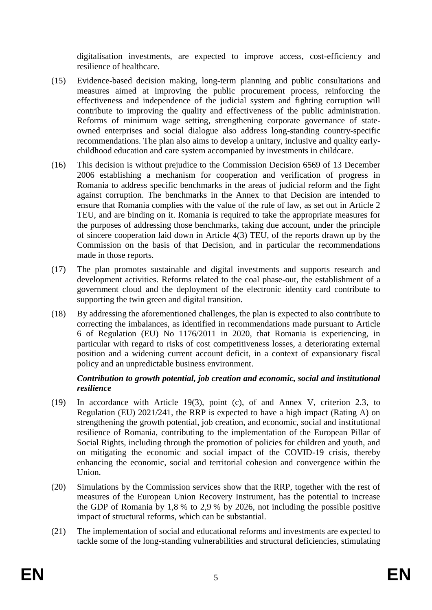digitalisation investments, are expected to improve access, cost-efficiency and resilience of healthcare.

- (15) Evidence-based decision making, long-term planning and public consultations and measures aimed at improving the public procurement process, reinforcing the effectiveness and independence of the judicial system and fighting corruption will contribute to improving the quality and effectiveness of the public administration. Reforms of minimum wage setting, strengthening corporate governance of stateowned enterprises and social dialogue also address long-standing country-specific recommendations. The plan also aims to develop a unitary, inclusive and quality earlychildhood education and care system accompanied by investments in childcare.
- (16) This decision is without prejudice to the Commission Decision 6569 of 13 December 2006 establishing a mechanism for cooperation and verification of progress in Romania to address specific benchmarks in the areas of judicial reform and the fight against corruption. The benchmarks in the Annex to that Decision are intended to ensure that Romania complies with the value of the rule of law, as set out in Article 2 TEU, and are binding on it. Romania is required to take the appropriate measures for the purposes of addressing those benchmarks, taking due account, under the principle of sincere cooperation laid down in Article 4(3) TEU, of the reports drawn up by the Commission on the basis of that Decision, and in particular the recommendations made in those reports.
- (17) The plan promotes sustainable and digital investments and supports research and development activities. Reforms related to the coal phase-out, the establishment of a government cloud and the deployment of the electronic identity card contribute to supporting the twin green and digital transition.
- (18) By addressing the aforementioned challenges, the plan is expected to also contribute to correcting the imbalances, as identified in recommendations made pursuant to Article 6 of Regulation (EU) No 1176/2011 in 2020, that Romania is experiencing, in particular with regard to risks of cost competitiveness losses, a deteriorating external position and a widening current account deficit, in a context of expansionary fiscal policy and an unpredictable business environment.

# *Contribution to growth potential, job creation and economic, social and institutional resilience*

- (19) In accordance with Article 19(3), point (c), of and Annex V, criterion 2.3, to Regulation (EU) 2021/241, the RRP is expected to have a high impact (Rating A) on strengthening the growth potential, job creation, and economic, social and institutional resilience of Romania, contributing to the implementation of the European Pillar of Social Rights, including through the promotion of policies for children and youth, and on mitigating the economic and social impact of the COVID-19 crisis, thereby enhancing the economic, social and territorial cohesion and convergence within the Union.
- (20) Simulations by the Commission services show that the RRP, together with the rest of measures of the European Union Recovery Instrument, has the potential to increase the GDP of Romania by 1,8 % to 2,9 % by 2026, not including the possible positive impact of structural reforms, which can be substantial.
- (21) The implementation of social and educational reforms and investments are expected to tackle some of the long-standing vulnerabilities and structural deficiencies, stimulating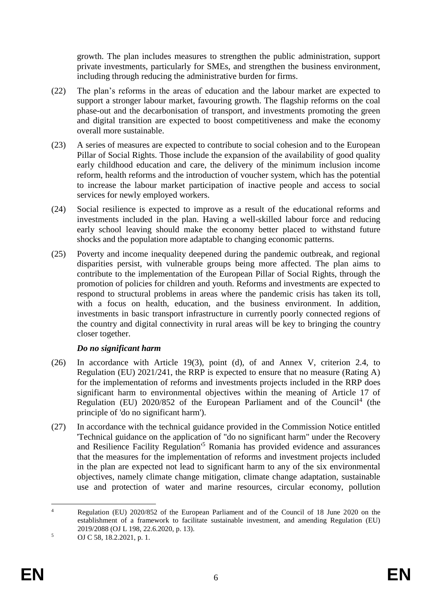growth. The plan includes measures to strengthen the public administration, support private investments, particularly for SMEs, and strengthen the business environment, including through reducing the administrative burden for firms.

- (22) The plan's reforms in the areas of education and the labour market are expected to support a stronger labour market, favouring growth. The flagship reforms on the coal phase-out and the decarbonisation of transport, and investments promoting the green and digital transition are expected to boost competitiveness and make the economy overall more sustainable.
- (23) A series of measures are expected to contribute to social cohesion and to the European Pillar of Social Rights. Those include the expansion of the availability of good quality early childhood education and care, the delivery of the minimum inclusion income reform, health reforms and the introduction of voucher system, which has the potential to increase the labour market participation of inactive people and access to social services for newly employed workers.
- (24) Social resilience is expected to improve as a result of the educational reforms and investments included in the plan. Having a well-skilled labour force and reducing early school leaving should make the economy better placed to withstand future shocks and the population more adaptable to changing economic patterns.
- (25) Poverty and income inequality deepened during the pandemic outbreak, and regional disparities persist, with vulnerable groups being more affected. The plan aims to contribute to the implementation of the European Pillar of Social Rights, through the promotion of policies for children and youth. Reforms and investments are expected to respond to structural problems in areas where the pandemic crisis has taken its toll, with a focus on health, education, and the business environment. In addition, investments in basic transport infrastructure in currently poorly connected regions of the country and digital connectivity in rural areas will be key to bringing the country closer together.

# *Do no significant harm*

- (26) In accordance with Article 19(3), point (d), of and Annex V, criterion 2.4, to Regulation (EU) 2021/241, the RRP is expected to ensure that no measure (Rating A) for the implementation of reforms and investments projects included in the RRP does significant harm to environmental objectives within the meaning of Article 17 of Regulation (EU)  $2020/852$  of the European Parliament and of the Council<sup>4</sup> (the principle of 'do no significant harm').
- (27) In accordance with the technical guidance provided in the Commission Notice entitled 'Technical guidance on the application of "do no significant harm" under the Recovery and Resilience Facility Regulation'<sup>5</sup> Romania has provided evidence and assurances that the measures for the implementation of reforms and investment projects included in the plan are expected not lead to significant harm to any of the six environmental objectives, namely climate change mitigation, climate change adaptation, sustainable use and protection of water and marine resources, circular economy, pollution

 $\overline{4}$ <sup>4</sup> Regulation (EU) 2020/852 of the European Parliament and of the Council of 18 June 2020 on the establishment of a framework to facilitate sustainable investment, and amending Regulation (EU) 2019/2088 (OJ L 198, 22.6.2020, p. 13).

 $5 \qquad \text{OJ C } 58, 18.2.2021, \text{p. 1.}$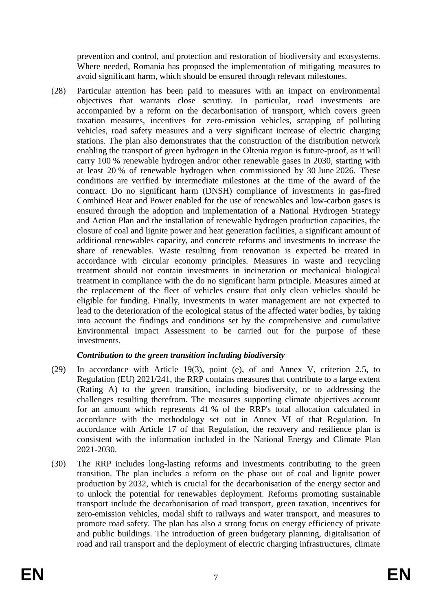prevention and control, and protection and restoration of biodiversity and ecosystems. Where needed, Romania has proposed the implementation of mitigating measures to avoid significant harm, which should be ensured through relevant milestones.

(28) Particular attention has been paid to measures with an impact on environmental objectives that warrants close scrutiny. In particular, road investments are accompanied by a reform on the decarbonisation of transport, which covers green taxation measures, incentives for zero-emission vehicles, scrapping of polluting vehicles, road safety measures and a very significant increase of electric charging stations. The plan also demonstrates that the construction of the distribution network enabling the transport of green hydrogen in the Oltenia region is future-proof, as it will carry 100 % renewable hydrogen and/or other renewable gases in 2030, starting with at least 20 % of renewable hydrogen when commissioned by 30 June 2026. These conditions are verified by intermediate milestones at the time of the award of the contract. Do no significant harm (DNSH) compliance of investments in gas-fired Combined Heat and Power enabled for the use of renewables and low-carbon gases is ensured through the adoption and implementation of a National Hydrogen Strategy and Action Plan and the installation of renewable hydrogen production capacities, the closure of coal and lignite power and heat generation facilities, a significant amount of additional renewables capacity, and concrete reforms and investments to increase the share of renewables. Waste resulting from renovation is expected be treated in accordance with circular economy principles. Measures in waste and recycling treatment should not contain investments in incineration or mechanical biological treatment in compliance with the do no significant harm principle. Measures aimed at the replacement of the fleet of vehicles ensure that only clean vehicles should be eligible for funding. Finally, investments in water management are not expected to lead to the deterioration of the ecological status of the affected water bodies, by taking into account the findings and conditions set by the comprehensive and cumulative Environmental Impact Assessment to be carried out for the purpose of these investments.

# *Contribution to the green transition including biodiversity*

- (29) In accordance with Article 19(3), point (e), of and Annex V, criterion 2.5, to Regulation (EU) 2021/241, the RRP contains measures that contribute to a large extent (Rating A) to the green transition, including biodiversity, or to addressing the challenges resulting therefrom. The measures supporting climate objectives account for an amount which represents 41 % of the RRP's total allocation calculated in accordance with the methodology set out in Annex VI of that Regulation. In accordance with Article 17 of that Regulation, the recovery and resilience plan is consistent with the information included in the National Energy and Climate Plan 2021-2030.
- (30) The RRP includes long-lasting reforms and investments contributing to the green transition. The plan includes a reform on the phase out of coal and lignite power production by 2032, which is crucial for the decarbonisation of the energy sector and to unlock the potential for renewables deployment. Reforms promoting sustainable transport include the decarbonisation of road transport, green taxation, incentives for zero-emission vehicles, modal shift to railways and water transport, and measures to promote road safety. The plan has also a strong focus on energy efficiency of private and public buildings. The introduction of green budgetary planning, digitalisation of road and rail transport and the deployment of electric charging infrastructures, climate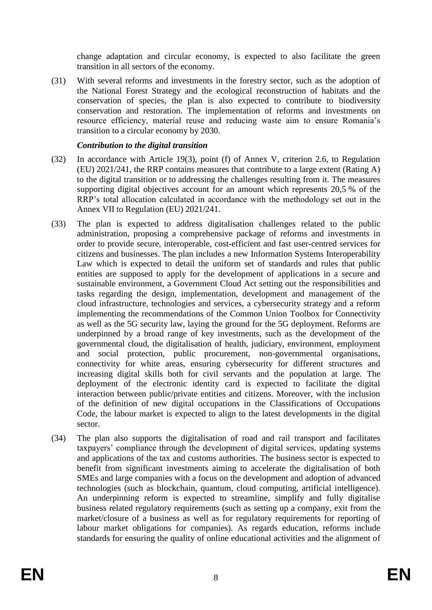change adaptation and circular economy, is expected to also facilitate the green transition in all sectors of the economy.

(31) With several reforms and investments in the forestry sector, such as the adoption of the National Forest Strategy and the ecological reconstruction of habitats and the conservation of species, the plan is also expected to contribute to biodiversity conservation and restoration. The implementation of reforms and investments on resource efficiency, material reuse and reducing waste aim to ensure Romania's transition to a circular economy by 2030.

## *Contribution to the digital transition*

- (32) In accordance with Article 19(3), point (f) of Annex V, criterion 2.6, to Regulation (EU) 2021/241, the RRP contains measures that contribute to a large extent (Rating A) to the digital transition or to addressing the challenges resulting from it. The measures supporting digital objectives account for an amount which represents 20,5 % of the RRP's total allocation calculated in accordance with the methodology set out in the Annex VII to Regulation (EU) 2021/241.
- (33) The plan is expected to address digitalisation challenges related to the public administration, proposing a comprehensive package of reforms and investments in order to provide secure, interoperable, cost-efficient and fast user-centred services for citizens and businesses. The plan includes a new Information Systems Interoperability Law which is expected to detail the uniform set of standards and rules that public entities are supposed to apply for the development of applications in a secure and sustainable environment, a Government Cloud Act setting out the responsibilities and tasks regarding the design, implementation, development and management of the cloud infrastructure, technologies and services, a cybersecurity strategy and a reform implementing the recommendations of the Common Union Toolbox for Connectivity as well as the 5G security law, laying the ground for the 5G deployment. Reforms are underpinned by a broad range of key investments, such as the development of the governmental cloud, the digitalisation of health, judiciary, environment, employment and social protection, public procurement, non-governmental organisations, connectivity for white areas, ensuring cybersecurity for different structures and increasing digital skills both for civil servants and the population at large. The deployment of the electronic identity card is expected to facilitate the digital interaction between public/private entities and citizens. Moreover, with the inclusion of the definition of new digital occupations in the Classifications of Occupations Code, the labour market is expected to align to the latest developments in the digital sector.
- (34) The plan also supports the digitalisation of road and rail transport and facilitates taxpayers' compliance through the development of digital services, updating systems and applications of the tax and customs authorities. The business sector is expected to benefit from significant investments aiming to accelerate the digitalisation of both SMEs and large companies with a focus on the development and adoption of advanced technologies (such as blockchain, quantum, cloud computing, artificial intelligence). An underpinning reform is expected to streamline, simplify and fully digitalise business related regulatory requirements (such as setting up a company, exit from the market/closure of a business as well as for regulatory requirements for reporting of labour market obligations for companies). As regards education, reforms include standards for ensuring the quality of online educational activities and the alignment of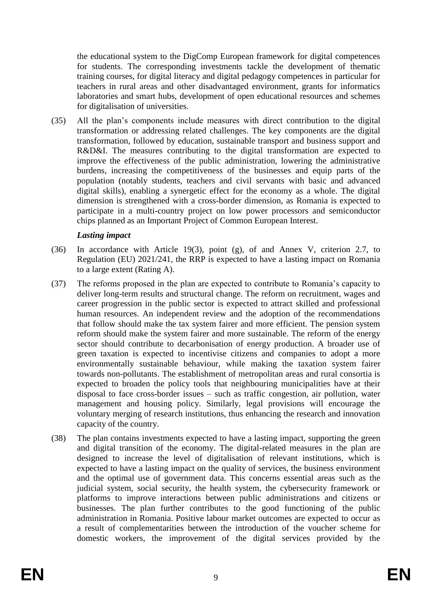the educational system to the DigComp European framework for digital competences for students. The corresponding investments tackle the development of thematic training courses, for digital literacy and digital pedagogy competences in particular for teachers in rural areas and other disadvantaged environment, grants for informatics laboratories and smart hubs, development of open educational resources and schemes for digitalisation of universities.

(35) All the plan's components include measures with direct contribution to the digital transformation or addressing related challenges. The key components are the digital transformation, followed by education, sustainable transport and business support and R&D&I. The measures contributing to the digital transformation are expected to improve the effectiveness of the public administration, lowering the administrative burdens, increasing the competitiveness of the businesses and equip parts of the population (notably students, teachers and civil servants with basic and advanced digital skills), enabling a synergetic effect for the economy as a whole. The digital dimension is strengthened with a cross-border dimension, as Romania is expected to participate in a multi-country project on low power processors and semiconductor chips planned as an Important Project of Common European Interest.

### *Lasting impact*

- (36) In accordance with Article 19(3), point (g), of and Annex V, criterion 2.7, to Regulation (EU) 2021/241, the RRP is expected to have a lasting impact on Romania to a large extent (Rating A).
- (37) The reforms proposed in the plan are expected to contribute to Romania's capacity to deliver long-term results and structural change. The reform on recruitment, wages and career progression in the public sector is expected to attract skilled and professional human resources. An independent review and the adoption of the recommendations that follow should make the tax system fairer and more efficient. The pension system reform should make the system fairer and more sustainable. The reform of the energy sector should contribute to decarbonisation of energy production. A broader use of green taxation is expected to incentivise citizens and companies to adopt a more environmentally sustainable behaviour, while making the taxation system fairer towards non-pollutants. The establishment of metropolitan areas and rural consortia is expected to broaden the policy tools that neighbouring municipalities have at their disposal to face cross-border issues – such as traffic congestion, air pollution, water management and housing policy. Similarly, legal provisions will encourage the voluntary merging of research institutions, thus enhancing the research and innovation capacity of the country.
- (38) The plan contains investments expected to have a lasting impact, supporting the green and digital transition of the economy. The digital-related measures in the plan are designed to increase the level of digitalisation of relevant institutions, which is expected to have a lasting impact on the quality of services, the business environment and the optimal use of government data. This concerns essential areas such as the judicial system, social security, the health system, the cybersecurity framework or platforms to improve interactions between public administrations and citizens or businesses. The plan further contributes to the good functioning of the public administration in Romania. Positive labour market outcomes are expected to occur as a result of complementarities between the introduction of the voucher scheme for domestic workers, the improvement of the digital services provided by the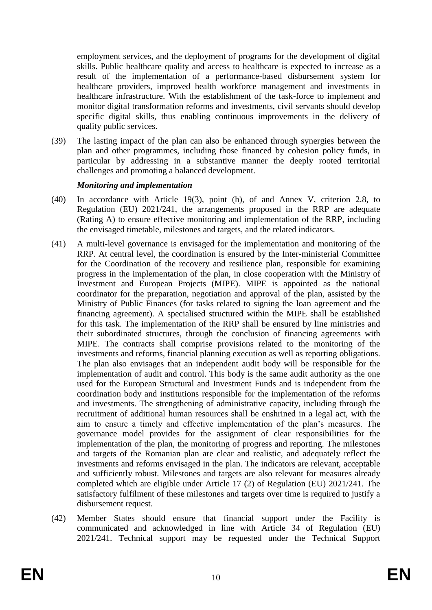employment services, and the deployment of programs for the development of digital skills. Public healthcare quality and access to healthcare is expected to increase as a result of the implementation of a performance-based disbursement system for healthcare providers, improved health workforce management and investments in healthcare infrastructure. With the establishment of the task-force to implement and monitor digital transformation reforms and investments, civil servants should develop specific digital skills, thus enabling continuous improvements in the delivery of quality public services.

(39) The lasting impact of the plan can also be enhanced through synergies between the plan and other programmes, including those financed by cohesion policy funds, in particular by addressing in a substantive manner the deeply rooted territorial challenges and promoting a balanced development.

#### *Monitoring and implementation*

- (40) In accordance with Article 19(3), point (h), of and Annex V, criterion 2.8, to Regulation (EU) 2021/241, the arrangements proposed in the RRP are adequate (Rating A) to ensure effective monitoring and implementation of the RRP, including the envisaged timetable, milestones and targets, and the related indicators.
- (41) A multi-level governance is envisaged for the implementation and monitoring of the RRP. At central level, the coordination is ensured by the Inter-ministerial Committee for the Coordination of the recovery and resilience plan, responsible for examining progress in the implementation of the plan, in close cooperation with the Ministry of Investment and European Projects (MIPE). MIPE is appointed as the national coordinator for the preparation, negotiation and approval of the plan, assisted by the Ministry of Public Finances (for tasks related to signing the loan agreement and the financing agreement). A specialised structured within the MIPE shall be established for this task. The implementation of the RRP shall be ensured by line ministries and their subordinated structures, through the conclusion of financing agreements with MIPE. The contracts shall comprise provisions related to the monitoring of the investments and reforms, financial planning execution as well as reporting obligations. The plan also envisages that an independent audit body will be responsible for the implementation of audit and control. This body is the same audit authority as the one used for the European Structural and Investment Funds and is independent from the coordination body and institutions responsible for the implementation of the reforms and investments. The strengthening of administrative capacity, including through the recruitment of additional human resources shall be enshrined in a legal act, with the aim to ensure a timely and effective implementation of the plan's measures. The governance model provides for the assignment of clear responsibilities for the implementation of the plan, the monitoring of progress and reporting. The milestones and targets of the Romanian plan are clear and realistic, and adequately reflect the investments and reforms envisaged in the plan. The indicators are relevant, acceptable and sufficiently robust. Milestones and targets are also relevant for measures already completed which are eligible under Article 17 (2) of Regulation (EU) 2021/241. The satisfactory fulfilment of these milestones and targets over time is required to justify a disbursement request.
- (42) Member States should ensure that financial support under the Facility is communicated and acknowledged in line with Article 34 of Regulation (EU) 2021/241. Technical support may be requested under the Technical Support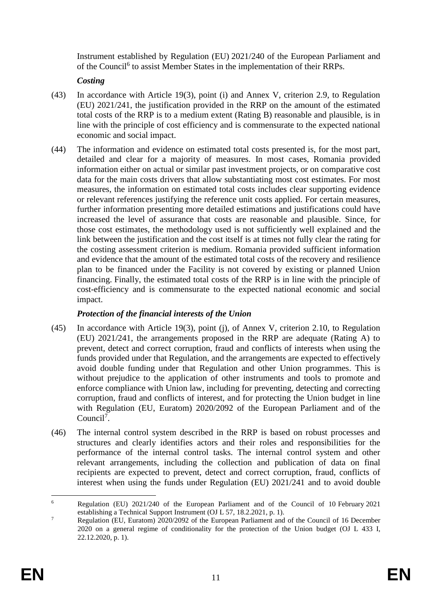Instrument established by Regulation (EU) 2021/240 of the European Parliament and of the Council<sup>6</sup> to assist Member States in the implementation of their RRPs.

# *Costing*

- (43) In accordance with Article 19(3), point (i) and Annex V, criterion 2.9, to Regulation (EU) 2021/241, the justification provided in the RRP on the amount of the estimated total costs of the RRP is to a medium extent (Rating B) reasonable and plausible, is in line with the principle of cost efficiency and is commensurate to the expected national economic and social impact.
- (44) The information and evidence on estimated total costs presented is, for the most part, detailed and clear for a majority of measures. In most cases, Romania provided information either on actual or similar past investment projects, or on comparative cost data for the main costs drivers that allow substantiating most cost estimates. For most measures, the information on estimated total costs includes clear supporting evidence or relevant references justifying the reference unit costs applied. For certain measures, further information presenting more detailed estimations and justifications could have increased the level of assurance that costs are reasonable and plausible. Since, for those cost estimates, the methodology used is not sufficiently well explained and the link between the justification and the cost itself is at times not fully clear the rating for the costing assessment criterion is medium. Romania provided sufficient information and evidence that the amount of the estimated total costs of the recovery and resilience plan to be financed under the Facility is not covered by existing or planned Union financing. Finally, the estimated total costs of the RRP is in line with the principle of cost-efficiency and is commensurate to the expected national economic and social impact.

# *Protection of the financial interests of the Union*

- (45) In accordance with Article 19(3), point (j), of Annex V, criterion 2.10, to Regulation (EU) 2021/241, the arrangements proposed in the RRP are adequate (Rating A) to prevent, detect and correct corruption, fraud and conflicts of interests when using the funds provided under that Regulation, and the arrangements are expected to effectively avoid double funding under that Regulation and other Union programmes. This is without prejudice to the application of other instruments and tools to promote and enforce compliance with Union law, including for preventing, detecting and correcting corruption, fraud and conflicts of interest, and for protecting the Union budget in line with Regulation (EU, Euratom) 2020/2092 of the European Parliament and of the Council<sup>7</sup>.
- (46) The internal control system described in the RRP is based on robust processes and structures and clearly identifies actors and their roles and responsibilities for the performance of the internal control tasks. The internal control system and other relevant arrangements, including the collection and publication of data on final recipients are expected to prevent, detect and correct corruption, fraud, conflicts of interest when using the funds under Regulation (EU) 2021/241 and to avoid double

<sup>1</sup> <sup>6</sup> Regulation (EU) 2021/240 of the European Parliament and of the Council of 10 February 2021 establishing a Technical Support Instrument (OJ L 57, 18.2.2021, p. 1).

<sup>&</sup>lt;sup>7</sup> Regulation (EU, Euratom) 2020/2092 of the European Parliament and of the Council of 16 December 2020 on a general regime of conditionality for the protection of the Union budget (OJ L 433 I, 22.12.2020, p. 1).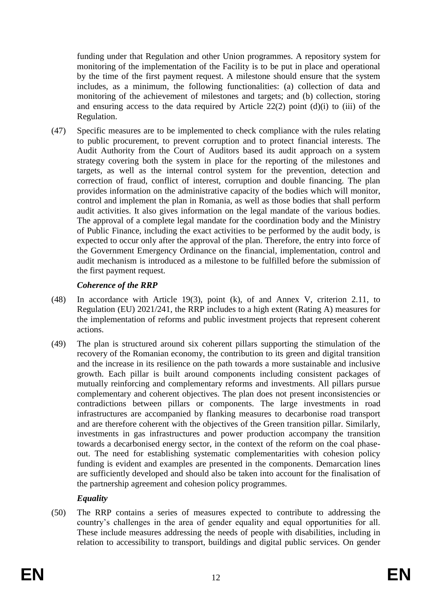funding under that Regulation and other Union programmes. A repository system for monitoring of the implementation of the Facility is to be put in place and operational by the time of the first payment request. A milestone should ensure that the system includes, as a minimum, the following functionalities: (a) collection of data and monitoring of the achievement of milestones and targets; and (b) collection, storing and ensuring access to the data required by Article 22(2) point  $(d)(i)$  to (iii) of the Regulation.

(47) Specific measures are to be implemented to check compliance with the rules relating to public procurement, to prevent corruption and to protect financial interests. The Audit Authority from the Court of Auditors based its audit approach on a system strategy covering both the system in place for the reporting of the milestones and targets, as well as the internal control system for the prevention, detection and correction of fraud, conflict of interest, corruption and double financing. The plan provides information on the administrative capacity of the bodies which will monitor, control and implement the plan in Romania, as well as those bodies that shall perform audit activities. It also gives information on the legal mandate of the various bodies. The approval of a complete legal mandate for the coordination body and the Ministry of Public Finance, including the exact activities to be performed by the audit body, is expected to occur only after the approval of the plan. Therefore, the entry into force of the Government Emergency Ordinance on the financial, implementation, control and audit mechanism is introduced as a milestone to be fulfilled before the submission of the first payment request.

# *Coherence of the RRP*

- (48) In accordance with Article 19(3), point (k), of and Annex V, criterion 2.11, to Regulation (EU) 2021/241, the RRP includes to a high extent (Rating A) measures for the implementation of reforms and public investment projects that represent coherent actions.
- (49) The plan is structured around six coherent pillars supporting the stimulation of the recovery of the Romanian economy, the contribution to its green and digital transition and the increase in its resilience on the path towards a more sustainable and inclusive growth. Each pillar is built around components including consistent packages of mutually reinforcing and complementary reforms and investments. All pillars pursue complementary and coherent objectives. The plan does not present inconsistencies or contradictions between pillars or components. The large investments in road infrastructures are accompanied by flanking measures to decarbonise road transport and are therefore coherent with the objectives of the Green transition pillar. Similarly, investments in gas infrastructures and power production accompany the transition towards a decarbonised energy sector, in the context of the reform on the coal phaseout. The need for establishing systematic complementarities with cohesion policy funding is evident and examples are presented in the components. Demarcation lines are sufficiently developed and should also be taken into account for the finalisation of the partnership agreement and cohesion policy programmes.

# *Equality*

(50) The RRP contains a series of measures expected to contribute to addressing the country's challenges in the area of gender equality and equal opportunities for all. These include measures addressing the needs of people with disabilities, including in relation to accessibility to transport, buildings and digital public services. On gender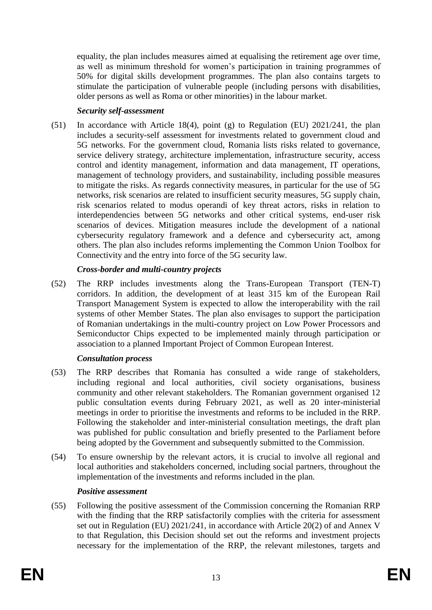equality, the plan includes measures aimed at equalising the retirement age over time, as well as minimum threshold for women's participation in training programmes of 50% for digital skills development programmes. The plan also contains targets to stimulate the participation of vulnerable people (including persons with disabilities, older persons as well as Roma or other minorities) in the labour market.

# *Security self-assessment*

(51) In accordance with Article 18(4), point (g) to Regulation (EU) 2021/241, the plan includes a security-self assessment for investments related to government cloud and 5G networks. For the government cloud, Romania lists risks related to governance, service delivery strategy, architecture implementation, infrastructure security, access control and identity management, information and data management, IT operations, management of technology providers, and sustainability, including possible measures to mitigate the risks. As regards connectivity measures, in particular for the use of 5G networks, risk scenarios are related to insufficient security measures, 5G supply chain, risk scenarios related to modus operandi of key threat actors, risks in relation to interdependencies between 5G networks and other critical systems, end-user risk scenarios of devices. Mitigation measures include the development of a national cybersecurity regulatory framework and a defence and cybersecurity act, among others. The plan also includes reforms implementing the Common Union Toolbox for Connectivity and the entry into force of the 5G security law.

# *Cross-border and multi-country projects*

(52) The RRP includes investments along the Trans-European Transport (TEN-T) corridors. In addition, the development of at least 315 km of the European Rail Transport Management System is expected to allow the interoperability with the rail systems of other Member States. The plan also envisages to support the participation of Romanian undertakings in the multi-country project on Low Power Processors and Semiconductor Chips expected to be implemented mainly through participation or association to a planned Important Project of Common European Interest.

# *Consultation process*

- (53) The RRP describes that Romania has consulted a wide range of stakeholders, including regional and local authorities, civil society organisations, business community and other relevant stakeholders. The Romanian government organised 12 public consultation events during February 2021, as well as 20 inter-ministerial meetings in order to prioritise the investments and reforms to be included in the RRP. Following the stakeholder and inter-ministerial consultation meetings, the draft plan was published for public consultation and briefly presented to the Parliament before being adopted by the Government and subsequently submitted to the Commission.
- (54) To ensure ownership by the relevant actors, it is crucial to involve all regional and local authorities and stakeholders concerned, including social partners, throughout the implementation of the investments and reforms included in the plan.

# *Positive assessment*

(55) Following the positive assessment of the Commission concerning the Romanian RRP with the finding that the RRP satisfactorily complies with the criteria for assessment set out in Regulation (EU) 2021/241, in accordance with Article 20(2) of and Annex V to that Regulation, this Decision should set out the reforms and investment projects necessary for the implementation of the RRP, the relevant milestones, targets and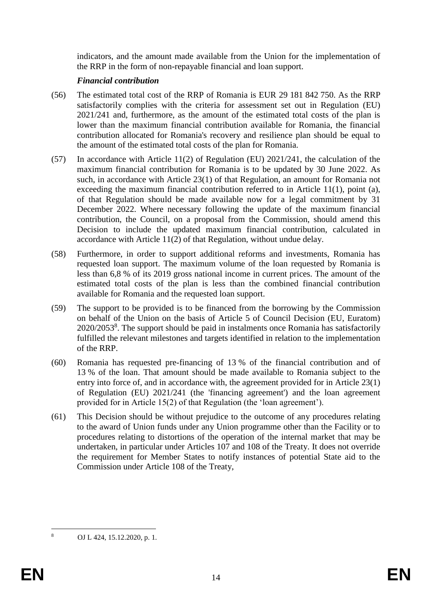indicators, and the amount made available from the Union for the implementation of the RRP in the form of non-repayable financial and loan support.

### *Financial contribution*

- (56) The estimated total cost of the RRP of Romania is EUR 29 181 842 750. As the RRP satisfactorily complies with the criteria for assessment set out in Regulation (EU) 2021/241 and, furthermore, as the amount of the estimated total costs of the plan is lower than the maximum financial contribution available for Romania, the financial contribution allocated for Romania's recovery and resilience plan should be equal to the amount of the estimated total costs of the plan for Romania.
- (57) In accordance with Article 11(2) of Regulation (EU) 2021/241, the calculation of the maximum financial contribution for Romania is to be updated by 30 June 2022. As such, in accordance with Article 23(1) of that Regulation, an amount for Romania not exceeding the maximum financial contribution referred to in Article 11(1), point (a), of that Regulation should be made available now for a legal commitment by 31 December 2022. Where necessary following the update of the maximum financial contribution, the Council, on a proposal from the Commission, should amend this Decision to include the updated maximum financial contribution, calculated in accordance with Article 11(2) of that Regulation, without undue delay.
- (58) Furthermore, in order to support additional reforms and investments, Romania has requested loan support. The maximum volume of the loan requested by Romania is less than 6,8 % of its 2019 gross national income in current prices. The amount of the estimated total costs of the plan is less than the combined financial contribution available for Romania and the requested loan support.
- (59) The support to be provided is to be financed from the borrowing by the Commission on behalf of the Union on the basis of Article 5 of Council Decision (EU, Euratom) 2020/2053<sup>8</sup>. The support should be paid in instalments once Romania has satisfactorily fulfilled the relevant milestones and targets identified in relation to the implementation of the RRP.
- (60) Romania has requested pre-financing of 13 % of the financial contribution and of 13 % of the loan. That amount should be made available to Romania subject to the entry into force of, and in accordance with, the agreement provided for in Article 23(1) of Regulation (EU) 2021/241 (the 'financing agreement') and the loan agreement provided for in Article 15(2) of that Regulation (the 'loan agreement').
- (61) This Decision should be without prejudice to the outcome of any procedures relating to the award of Union funds under any Union programme other than the Facility or to procedures relating to distortions of the operation of the internal market that may be undertaken, in particular under Articles 107 and 108 of the Treaty. It does not override the requirement for Member States to notify instances of potential State aid to the Commission under Article 108 of the Treaty,

 $\overline{8}$ <sup>8</sup> OJ L 424, 15.12.2020, p. 1.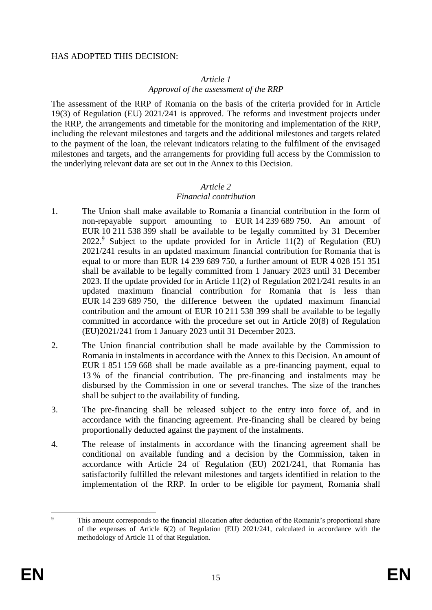#### HAS ADOPTED THIS DECISION:

#### *Article 1*

#### *Approval of the assessment of the RRP*

The assessment of the RRP of Romania on the basis of the criteria provided for in Article 19(3) of Regulation (EU) 2021/241 is approved. The reforms and investment projects under the RRP, the arrangements and timetable for the monitoring and implementation of the RRP, including the relevant milestones and targets and the additional milestones and targets related to the payment of the loan, the relevant indicators relating to the fulfilment of the envisaged milestones and targets, and the arrangements for providing full access by the Commission to the underlying relevant data are set out in the Annex to this Decision.

#### *Article 2*

#### *Financial contribution*

- 1. The Union shall make available to Romania a financial contribution in the form of non-repayable support amounting to EUR 14 239 689 750. An amount of EUR 10 211 538 399 shall be available to be legally committed by 31 December  $2022$ .<sup>9</sup> Subject to the update provided for in Article 11(2) of Regulation (EU) 2021/241 results in an updated maximum financial contribution for Romania that is equal to or more than EUR 14 239 689 750, a further amount of EUR 4 028 151 351 shall be available to be legally committed from 1 January 2023 until 31 December 2023. If the update provided for in Article 11(2) of Regulation 2021/241 results in an updated maximum financial contribution for Romania that is less than EUR 14 239 689 750, the difference between the updated maximum financial contribution and the amount of EUR 10 211 538 399 shall be available to be legally committed in accordance with the procedure set out in Article 20(8) of Regulation (EU)2021/241 from 1 January 2023 until 31 December 2023.
- 2. The Union financial contribution shall be made available by the Commission to Romania in instalments in accordance with the Annex to this Decision. An amount of EUR 1 851 159 668 shall be made available as a pre-financing payment, equal to 13 % of the financial contribution. The pre-financing and instalments may be disbursed by the Commission in one or several tranches. The size of the tranches shall be subject to the availability of funding.
- 3. The pre-financing shall be released subject to the entry into force of, and in accordance with the financing agreement. Pre-financing shall be cleared by being proportionally deducted against the payment of the instalments.
- 4. The release of instalments in accordance with the financing agreement shall be conditional on available funding and a decision by the Commission, taken in accordance with Article 24 of Regulation (EU) 2021/241, that Romania has satisfactorily fulfilled the relevant milestones and targets identified in relation to the implementation of the RRP. In order to be eligible for payment, Romania shall

 $\alpha$ This amount corresponds to the financial allocation after deduction of the Romania's proportional share of the expenses of Article 6(2) of Regulation (EU) 2021/241, calculated in accordance with the methodology of Article 11 of that Regulation.